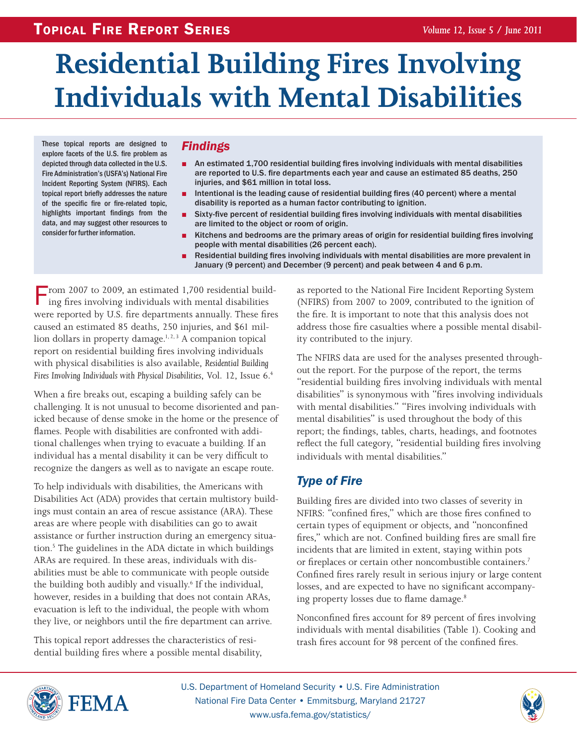# **Residential Building Fires Involving Individuals with Mental Disabilities**

These topical reports are designed to explore facets of the U.S. fire problem as depicted through data collected in the U.S. Fire Administration's (USFA's) National Fire Incident Reporting System (NFIRS). Each topical report briefly addresses the nature of the specific fire or fire-related topic, highlights important findings from the data, and may suggest other resources to consider for further information.

### *Findings*

- An estimated 1,700 residential building fires involving individuals with mental disabilities are reported to U.S. fire departments each year and cause an estimated 85 deaths, 250 injuries, and \$61 million in total loss.
- Intentional is the leading cause of residential building fires (40 percent) where a mental disability is reported as a human factor contributing to ignition.
- Sixty-five percent of residential building fires involving individuals with mental disabilities are limited to the object or room of origin.
- Kitchens and bedrooms are the primary areas of origin for residential building fires involving people with mental disabilities (26 percent each).
- Residential building fires involving individuals with mental disabilities are more prevalent in January (9 percent) and December (9 percent) and peak between 4 and 6 p.m.

From 2007 to 2009, an estimated 1,700 residential build-<br>ing fires involving individuals with mental disabilities were reported by U.S. fire departments annually. These fires caused an estimated 85 deaths, 250 injuries, and \$61 million dollars in property damage.<sup>1, 2, 3</sup> A companion topical report on residential building fires involving individuals with physical disabilities is also available, *Residential Building Fires Involving Individuals with Physical Disabilities*, Vol. 12, Issue 6.4

When a fire breaks out, escaping a building safely can be challenging. It is not unusual to become disoriented and panicked because of dense smoke in the home or the presence of flames. People with disabilities are confronted with additional challenges when trying to evacuate a building. If an individual has a mental disability it can be very difficult to recognize the dangers as well as to navigate an escape route.

To help individuals with disabilities, the Americans with Disabilities Act (ADA) provides that certain multistory buildings must contain an area of rescue assistance (ARA). These areas are where people with disabilities can go to await assistance or further instruction during an emergency situation.<sup>5</sup> The guidelines in the ADA dictate in which buildings ARAs are required. In these areas, individuals with disabilities must be able to communicate with people outside the building both audibly and visually.<sup>6</sup> If the individual, however, resides in a building that does not contain ARAs, evacuation is left to the individual, the people with whom they live, or neighbors until the fire department can arrive.

This topical report addresses the characteristics of residential building fires where a possible mental disability, as reported to the National Fire Incident Reporting System (NFIRS) from 2007 to 2009, contributed to the ignition of the fire. It is important to note that this analysis does not address those fire casualties where a possible mental disability contributed to the injury.

The NFIRS data are used for the analyses presented throughout the report. For the purpose of the report, the terms "residential building fires involving individuals with mental disabilities" is synonymous with "fires involving individuals with mental disabilities." "Fires involving individuals with mental disabilities" is used throughout the body of this report; the findings, tables, charts, headings, and footnotes reflect the full category, "residential building fires involving individuals with mental disabilities."

### *Type of Fire*

Building fires are divided into two classes of severity in NFIRS: "confined fires," which are those fires confined to certain types of equipment or objects, and "nonconfined fires," which are not. Confined building fires are small fire incidents that are limited in extent, staying within pots or fireplaces or certain other noncombustible containers.<sup>7</sup> Confined fires rarely result in serious injury or large content losses, and are expected to have no significant accompanying property losses due to flame damage.<sup>8</sup>

Nonconfined fires account for 89 percent of fires involving individuals with mental disabilities (Table 1). Cooking and trash fires account for 98 percent of the confined fires.



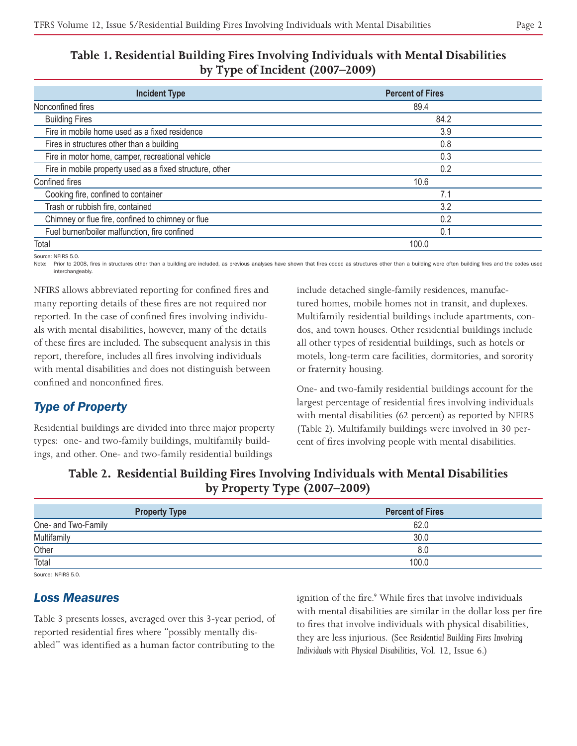### **Table 1. Residential Building Fires Involving Individuals with Mental Disabilities by Type of Incident (2007–2009)**

| <b>Incident Type</b>                                            | <b>Percent of Fires</b> |  |
|-----------------------------------------------------------------|-------------------------|--|
| Nonconfined fires                                               | 89.4                    |  |
| <b>Building Fires</b>                                           | 84.2                    |  |
| Fire in mobile home used as a fixed residence                   | 3.9                     |  |
| Fires in structures other than a building                       | 0.8                     |  |
| Fire in motor home, camper, recreational vehicle<br>0.3         |                         |  |
| Fire in mobile property used as a fixed structure, other<br>0.2 |                         |  |
| Confined fires                                                  | 10.6                    |  |
| Cooking fire, confined to container                             | 7.1                     |  |
| Trash or rubbish fire, contained<br>3.2                         |                         |  |
| Chimney or flue fire, confined to chimney or flue<br>0.2        |                         |  |
| Fuel burner/boiler malfunction, fire confined                   | 0.1                     |  |
| Total                                                           | 100.0                   |  |

Source: NFIRS 5.0.

Note: Prior to 2008, fires in structures other than a building are included, as previous analyses have shown that fires coded as structures other than a building were often building fires and the codes used interchangeably.

NFIRS allows abbreviated reporting for confined fires and many reporting details of these fires are not required nor reported. In the case of confined fires involving individuals with mental disabilities, however, many of the details of these fires are included. The subsequent analysis in this report, therefore, includes all fires involving individuals with mental disabilities and does not distinguish between confined and nonconfined fires.

### *Type of Property*

Residential buildings are divided into three major property types: one- and two-family buildings, multifamily buildings, and other. One- and two-family residential buildings

include detached single-family residences, manufactured homes, mobile homes not in transit, and duplexes. Multifamily residential buildings include apartments, condos, and town houses. Other residential buildings include all other types of residential buildings, such as hotels or motels, long-term care facilities, dormitories, and sorority or fraternity housing.

One- and two-family residential buildings account for the largest percentage of residential fires involving individuals with mental disabilities (62 percent) as reported by NFIRS (Table 2). Multifamily buildings were involved in 30 percent of fires involving people with mental disabilities.

### **Table 2. Residential Building Fires Involving Individuals with Mental Disabilities by Property Type (2007–2009)**

| <b>Property Type</b> | <b>Percent of Fires</b> |
|----------------------|-------------------------|
| One- and Two-Family  | 62.0                    |
| Multifamily          | 30.0                    |
| Other                | 8.C                     |
| Total                | 100.0                   |
|                      |                         |

Source: NFIRS 5.0

### *Loss Measures*

Table 3 presents losses, averaged over this 3-year period, of reported residential fires where "possibly mentally disabled" was identified as a human factor contributing to the

ignition of the fire.<sup>9</sup> While fires that involve individuals with mental disabilities are similar in the dollar loss per fire to fires that involve individuals with physical disabilities, they are less injurious. (See *Residential Building Fires Involving Individuals with Physical Disabilities*, Vol. 12, Issue 6.)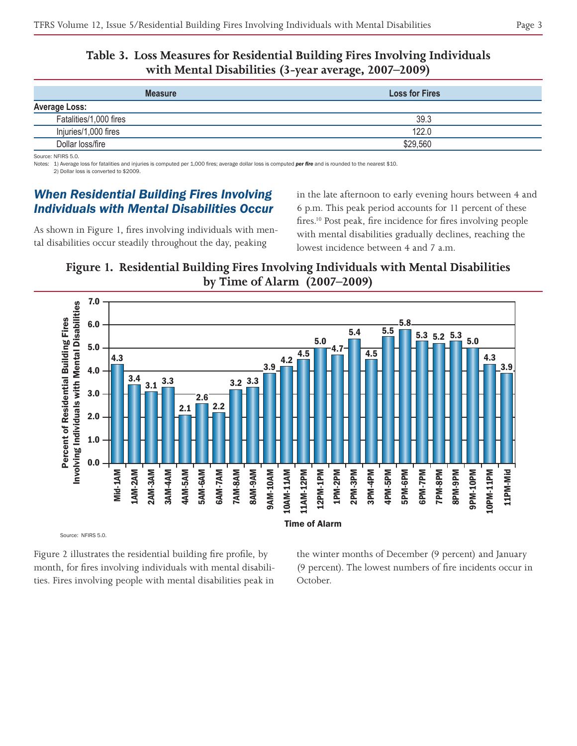### **Table 3. Loss Measures for Residential Building Fires Involving Individuals with Mental Disabilities (3-year average, 2007–2009)**

| <b>Measure</b>         | <b>Loss for Fires</b> |
|------------------------|-----------------------|
| <b>Average Loss:</b>   |                       |
| Fatalities/1,000 fires | 39.3                  |
| Injuries/1,000 fires   | 122.0                 |
| Dollar loss/fire       | \$29,560              |

Source: NFIRS 5.0.

Notes: 1) Average loss for fatalities and injuries is computed per 1,000 fires; average dollar loss is computed *per fire* and is rounded to the nearest \$10. 2) Dollar loss is converted to \$2009.

### *When Residential Building Fires Involving Individuals with Mental Disabilities Occur*

As shown in Figure 1, fires involving individuals with mental disabilities occur steadily throughout the day, peaking

in the late afternoon to early evening hours between 4 and 6 p.m. This peak period accounts for 11 percent of these fires.<sup>10</sup> Post peak, fire incidence for fires involving people with mental disabilities gradually declines, reaching the lowest incidence between 4 and 7 a.m.

### **Figure 1. Residential Building Fires Involving Individuals with Mental Disabilities by Time of Alarm (2007–2009)**



Figure 2 illustrates the residential building fire profile, by month, for fires involving individuals with mental disabilities. Fires involving people with mental disabilities peak in

the winter months of December (9 percent) and January (9 percent). The lowest numbers of fire incidents occur in October.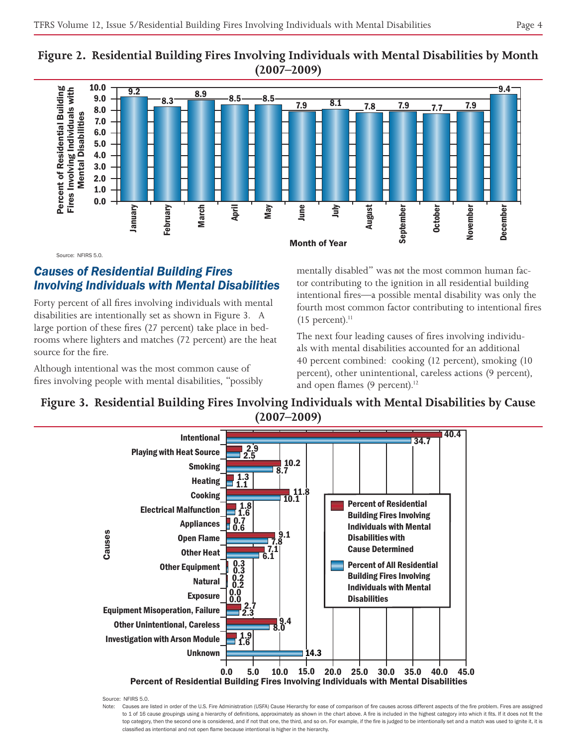



Source: NFIRS 5.0.

### *Causes of Residential Building Fires Involving Individuals with Mental Disabilities*

Forty percent of all fires involving individuals with mental disabilities are intentionally set as shown in Figure 3. A large portion of these fires (27 percent) take place in bedrooms where lighters and matches (72 percent) are the heat source for the fire.

Although intentional was the most common cause of fires involving people with mental disabilities, "possibly mentally disabled" was *not* the most common human factor contributing to the ignition in all residential building intentional fires—a possible mental disability was only the fourth most common factor contributing to intentional fires  $(15$  percent).<sup>11</sup>

The next four leading causes of fires involving individuals with mental disabilities accounted for an additional 40 percent combined: cooking (12 percent), smoking (10 percent), other unintentional, careless actions (9 percent), and open flames  $(9$  percent).<sup>12</sup>



## **Figure 3. Residential Building Fires Involving Individuals with Mental Disabilities by Cause**

Source: NFIRS 5.0.

Note: Causes are listed in order of the U.S. Fire Administration (USFA) Cause Hierarchy for ease of comparison of fire causes across different aspects of the fire problem. Fires are assigned to 1 of 16 cause groupings using a hierarchy of definitions, approximately as shown in the chart above. A fire is included in the highest category into which it fits. If it does not fit the top category, then the second one is considered, and if not that one, the third, and so on. For example, if the fire is judged to be intentionally set and a match was used to ignite it, it is classified as intentional and not open flame because intentional is higher in the hierarchy.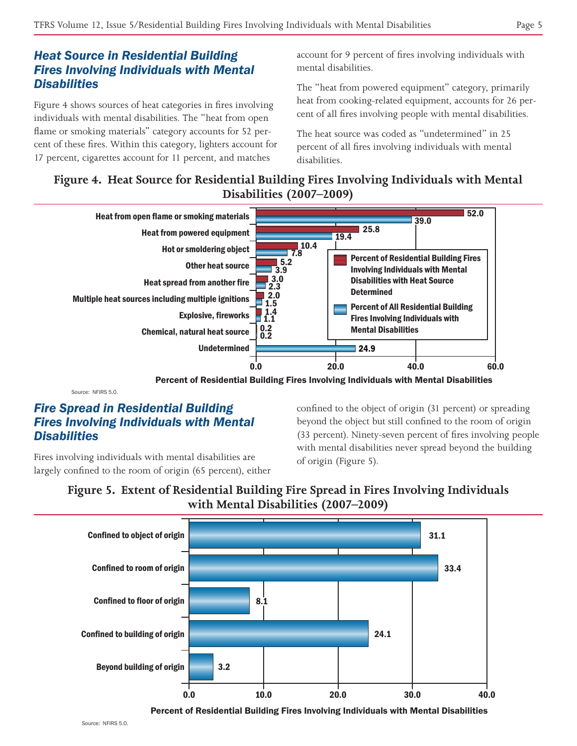### *Heat Source in Residential Building Fires Involving Individuals with Mental Disabilities*

Figure 4 shows sources of heat categories in fires involving individuals with mental disabilities. The "heat from open flame or smoking materials" category accounts for 52 percent of these fires. Within this category, lighters account for 17 percent, cigarettes account for 11 percent, and matches

account for 9 percent of fires involving individuals with mental disabilities.

The "heat from powered equipment" category, primarily heat from cooking-related equipment, accounts for 26 percent of all fires involving people with mental disabilities.

The heat source was coded as "undetermined" in 25 percent of all fires involving individuals with mental disabilities.

### **Figure 4. Heat Source for Residential Building Fires Involving Individuals with Mental Disabilities (2007–2009)**



Percent of Residential Building Fires Involving Individuals with Mental Disabilities

Source: NEIRS 5.0.

### *Fire Spread in Residential Building Fires Involving Individuals with Mental Disabilities*

Fires involving individuals with mental disabilities are largely confined to the room of origin (65 percent), either confined to the object of origin (31 percent) or spreading beyond the object but still confined to the room of origin (33 percent). Ninety-seven percent of fires involving people with mental disabilities never spread beyond the building of origin (Figure 5).





Percent of Residential Building Fires Involving Individuals with Mental Disabilities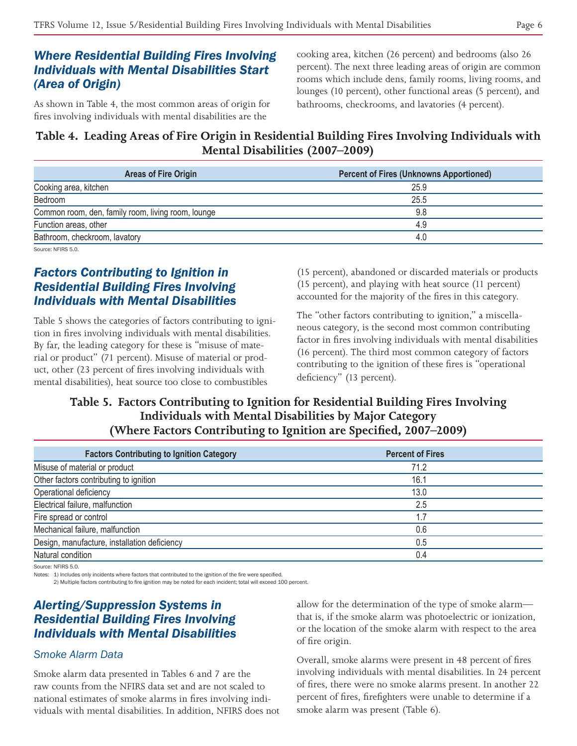### *Where Residential Building Fires Involving Individuals with Mental Disabilities Start (Area of Origin)*

As shown in Table 4, the most common areas of origin for fires involving individuals with mental disabilities are the

cooking area, kitchen (26 percent) and bedrooms (also 26 percent). The next three leading areas of origin are common rooms which include dens, family rooms, living rooms, and lounges (10 percent), other functional areas (5 percent), and bathrooms, checkrooms, and lavatories (4 percent).

### **Table 4. Leading Areas of Fire Origin in Residential Building Fires Involving Individuals with Mental Disabilities (2007–2009)**

| <b>Areas of Fire Origin</b>                        | <b>Percent of Fires (Unknowns Apportioned)</b> |
|----------------------------------------------------|------------------------------------------------|
| Cooking area, kitchen                              | 25.9                                           |
| Bedroom                                            | 25.5                                           |
| Common room, den, family room, living room, lounge | 9.8                                            |
| Function areas, other                              | 4.9                                            |
| Bathroom, checkroom, lavatory                      | 4.0                                            |
|                                                    |                                                |

Source: NFIRS 5.0.

### *Factors Contributing to Ignition in Residential Building Fires Involving Individuals with Mental Disabilities*

Table 5 shows the categories of factors contributing to ignition in fires involving individuals with mental disabilities. By far, the leading category for these is "misuse of material or product" (71 percent). Misuse of material or product, other (23 percent of fires involving individuals with mental disabilities), heat source too close to combustibles

(15 percent), abandoned or discarded materials or products (15 percent), and playing with heat source (11 percent) accounted for the majority of the fires in this category.

The "other factors contributing to ignition," a miscellaneous category, is the second most common contributing factor in fires involving individuals with mental disabilities (16 percent). The third most common category of factors contributing to the ignition of these fires is "operational deficiency" (13 percent).

### **Table 5. Factors Contributing to Ignition for Residential Building Fires Involving Individuals with Mental Disabilities by Major Category (Where Factors Contributing to Ignition are Specified, 2007–2009)**

| <b>Factors Contributing to Ignition Category</b> | <b>Percent of Fires</b> |  |
|--------------------------------------------------|-------------------------|--|
| Misuse of material or product                    | 71.2                    |  |
| Other factors contributing to ignition           | 16.1                    |  |
| Operational deficiency                           | 13.0                    |  |
| Electrical failure, malfunction                  | 2.5                     |  |
| Fire spread or control                           | 1.7                     |  |
| Mechanical failure, malfunction                  | 0.6                     |  |
| Design, manufacture, installation deficiency     | 0.5                     |  |
| Natural condition                                | 0.4                     |  |
|                                                  |                         |  |

Source: NFIRS 5.0.

Notes: 1) Includes only incidents where factors that contributed to the ignition of the fire were specified.

2) Multiple factors contributing to fire ignition may be noted for each incident; total will exceed 100 percent.

### *Alerting/Suppression Systems in Residential Building Fires Involving Individuals with Mental Disabilities*

### *Smoke Alarm Data*

Smoke alarm data presented in Tables 6 and 7 are the raw counts from the NFIRS data set and are not scaled to national estimates of smoke alarms in fires involving individuals with mental disabilities. In addition, NFIRS does not allow for the determination of the type of smoke alarm that is, if the smoke alarm was photoelectric or ionization, or the location of the smoke alarm with respect to the area of fire origin.

Overall, smoke alarms were present in 48 percent of fires involving individuals with mental disabilities. In 24 percent of fires, there were no smoke alarms present. In another 22 percent of fires, firefighters were unable to determine if a smoke alarm was present (Table 6).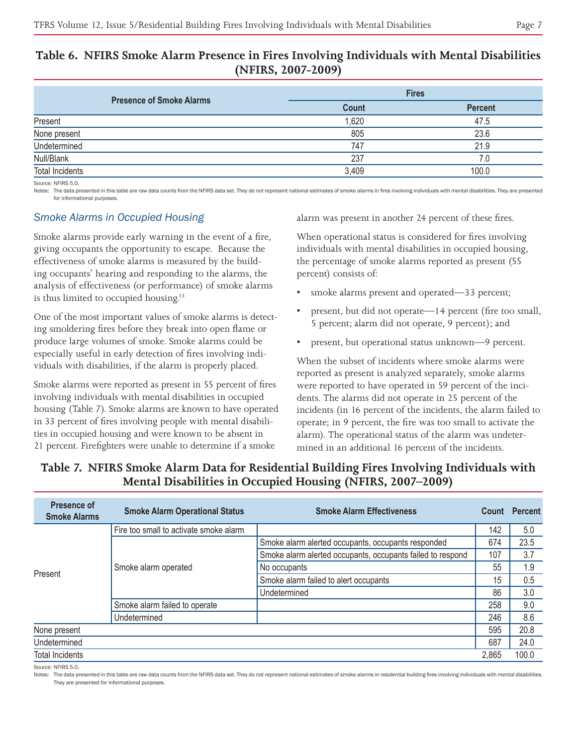### **Table 6. NFIRS Smoke Alarm Presence in Fires Involving Individuals with Mental Disabilities (NFIRS, 2007-2009)**

| <b>Presence of Smoke Alarms</b> |              | <b>Fires</b>   |  |
|---------------------------------|--------------|----------------|--|
|                                 | <b>Count</b> | <b>Percent</b> |  |
| Present                         | 1,620        | 47.5           |  |
| None present                    | 805          | 23.6           |  |
| Undetermined                    | 747          | 21.9           |  |
| Null/Blank                      | 237          | 7.0            |  |
| <b>Total Incidents</b>          | 3,409        | 100.0          |  |
| Source: NFIRS 5.0.              |              |                |  |

Notes: The data presented in this table are raw data counts from the NFIRS data set. They do not represent national estimates of smoke alarms in fires involving individuals with mental disabilities. They are presented for informational purposes

### *Smoke Alarms in Occupied Housing*

Smoke alarms provide early warning in the event of a fire, giving occupants the opportunity to escape. Because the effectiveness of smoke alarms is measured by the building occupants' hearing and responding to the alarms, the analysis of effectiveness (or performance) of smoke alarms is thus limited to occupied housing.13

One of the most important values of smoke alarms is detecting smoldering fires before they break into open flame or produce large volumes of smoke. Smoke alarms could be especially useful in early detection of fires involving individuals with disabilities, if the alarm is properly placed.

Smoke alarms were reported as present in 55 percent of fires involving individuals with mental disabilities in occupied housing (Table 7). Smoke alarms are known to have operated in 33 percent of fires involving people with mental disabilities in occupied housing and were known to be absent in 21 percent. Firefighters were unable to determine if a smoke

alarm was present in another 24 percent of these fires.

When operational status is considered for fires involving individuals with mental disabilities in occupied housing, the percentage of smoke alarms reported as present (55 percent) consists of:

- smoke alarms present and operated—33 percent;
- present, but did not operate—14 percent (fire too small, 5 percent; alarm did not operate, 9 percent); and
- present, but operational status unknown—9 percent.

When the subset of incidents where smoke alarms were reported as present is analyzed separately, smoke alarms were reported to have operated in 59 percent of the incidents. The alarms did not operate in 25 percent of the incidents (in 16 percent of the incidents, the alarm failed to operate; in 9 percent, the fire was too small to activate the alarm). The operational status of the alarm was undetermined in an additional 16 percent of the incidents.

| Presence of<br><b>Smoke Alarms</b> | <b>Smoke Alarm Operational Status</b>  | <b>Smoke Alarm Effectiveness</b>                           | Count | <b>Percent</b> |
|------------------------------------|----------------------------------------|------------------------------------------------------------|-------|----------------|
|                                    | Fire too small to activate smoke alarm |                                                            |       | 5.0            |
| Present                            | Smoke alarm operated                   | Smoke alarm alerted occupants, occupants responded         | 674   | 23.5           |
|                                    |                                        | Smoke alarm alerted occupants, occupants failed to respond | 107   | 3.7            |
|                                    |                                        | No occupants                                               | 55    | 1.9            |
|                                    |                                        | Smoke alarm failed to alert occupants                      | 15    | 0.5            |
|                                    |                                        | Undetermined                                               | 86    | 3.0            |
|                                    | Smoke alarm failed to operate          |                                                            | 258   | 9.0            |
|                                    | Undetermined                           |                                                            | 246   | 8.6            |
| None present                       |                                        |                                                            | 595   | 20.8           |
| Undetermined                       |                                        |                                                            | 687   | 24.0           |
| <b>Total Incidents</b>             |                                        |                                                            | 2,865 | 100.0          |

### **Table 7. NFIRS Smoke Alarm Data for Residential Building Fires Involving Individuals with Mental Disabilities in Occupied Housing (NFIRS, 2007–2009)**

Source: NFIRS 5.0.

Notes: The data presented in this table are raw data counts from the NFIRS data set. They do not represent national estimates of smoke alarms in residential building fires involving individuals with mental disabilities. They are presented for informational purposes.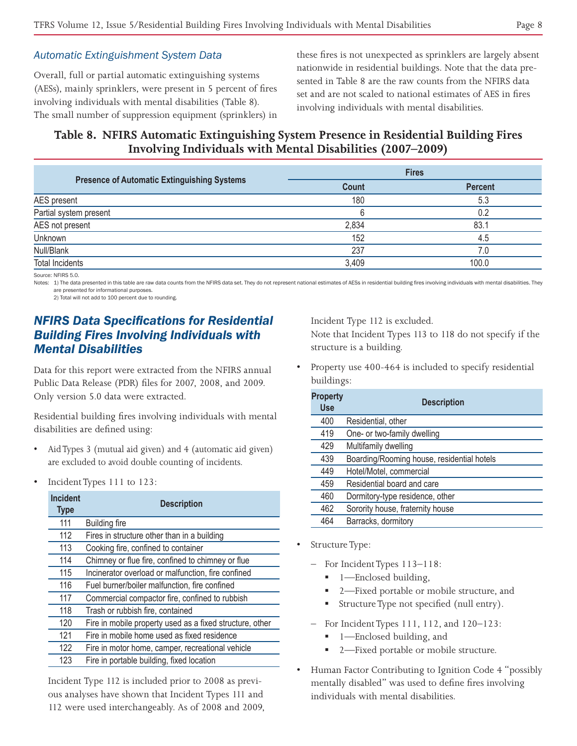### *Automatic Extinguishment System Data*

Overall, full or partial automatic extinguishing systems (AESs), mainly sprinklers, were present in 5 percent of fires involving individuals with mental disabilities (Table 8). The small number of suppression equipment (sprinklers) in these fires is not unexpected as sprinklers are largely absent nationwide in residential buildings. Note that the data presented in Table 8 are the raw counts from the NFIRS data set and are not scaled to national estimates of AES in fires involving individuals with mental disabilities.

### **Table 8. NFIRS Automatic Extinguishing System Presence in Residential Building Fires Involving Individuals with Mental Disabilities (2007–2009)**

|                                                    | <b>Fires</b> |                |
|----------------------------------------------------|--------------|----------------|
| <b>Presence of Automatic Extinguishing Systems</b> | <b>Count</b> | <b>Percent</b> |
| AES present                                        | 180          | 5.3            |
| Partial system present                             | 6            | 0.2            |
| AES not present                                    | 2,834        | 83.1           |
| Unknown                                            | 152          | 4.5            |
| Null/Blank                                         | 237          | 7.0            |
| <b>Total Incidents</b>                             | 3.409        | 100.0          |
| Source: NEIRS 5.0                                  |              |                |

Notes: 1) The data presented in this table are raw data counts from the NFIRS data set. They do not represent national estimates of AESs in residential building fires involving individuals with mental disabilities. They are presented for informational purposes.

2) Total will not add to 100 percent due to rounding.

### *NFIRS Data Specifications for Residential Building Fires Involving Individuals with Mental Disabilities*

Data for this report were extracted from the NFIRS annual Public Data Release (PDR) files for 2007, 2008, and 2009. Only version 5.0 data were extracted.

Residential building fires involving individuals with mental disabilities are defined using:

- Aid Types 3 (mutual aid given) and 4 (automatic aid given) are excluded to avoid double counting of incidents.
- Incident Types 111 to 123:

| <b>Incident</b><br><b>Type</b> | <b>Description</b>                                       |
|--------------------------------|----------------------------------------------------------|
| 111                            | <b>Building fire</b>                                     |
| 112                            | Fires in structure other than in a building              |
| 113                            | Cooking fire, confined to container                      |
| 114                            | Chimney or flue fire, confined to chimney or flue        |
| 115                            | Incinerator overload or malfunction, fire confined       |
| 116                            | Fuel burner/boiler malfunction, fire confined            |
| 117                            | Commercial compactor fire, confined to rubbish           |
| 118                            | Trash or rubbish fire, contained                         |
| 120                            | Fire in mobile property used as a fixed structure, other |
| 121                            | Fire in mobile home used as fixed residence              |
| 122                            | Fire in motor home, camper, recreational vehicle         |
| 123                            | Fire in portable building, fixed location                |

Incident Type 112 is included prior to 2008 as previous analyses have shown that Incident Types 111 and 112 were used interchangeably. As of 2008 and 2009, Incident Type 112 is excluded.

Note that Incident Types 113 to 118 do not specify if the structure is a building.

Property use 400-464 is included to specify residential buildings:

| <b>Property</b><br><b>Use</b> | <b>Description</b>                         |
|-------------------------------|--------------------------------------------|
| 400                           | Residential, other                         |
| 419                           | One- or two-family dwelling                |
| 429                           | Multifamily dwelling                       |
| 439                           | Boarding/Rooming house, residential hotels |
| 449                           | Hotel/Motel, commercial                    |
| 459                           | Residential board and care                 |
| 460                           | Dormitory-type residence, other            |
| 462                           | Sorority house, fraternity house           |
| 464                           | Barracks, dormitory                        |

- Structure Type:
	- For Incident Types 113–118:
		- 1—Enclosed building,
		- 2—Fixed portable or mobile structure, and
		- Structure Type not specified (null entry).
	- For Incident Types 111, 112, and 120–123:
		- 1—Enclosed building, and
		- 2—Fixed portable or mobile structure.
- • Human Factor Contributing to Ignition Code 4 "possibly mentally disabled" was used to define fires involving individuals with mental disabilities.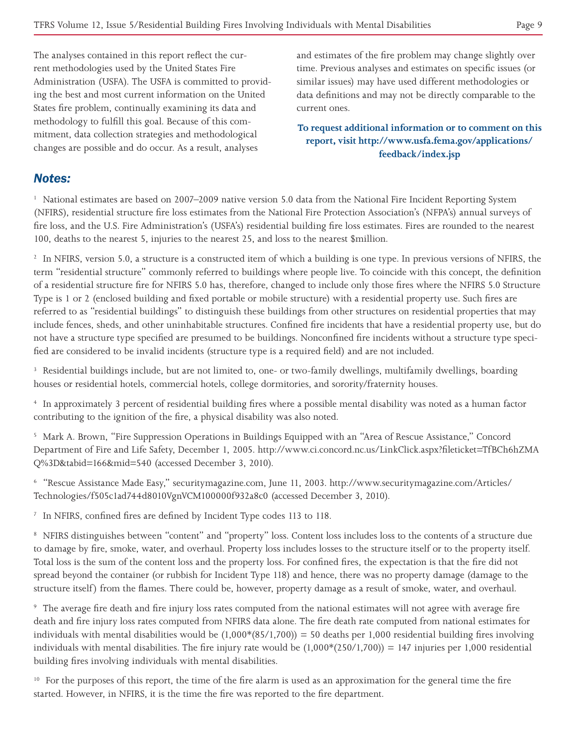The analyses contained in this report reflect the current methodologies used by the United States Fire Administration (USFA). The USFA is committed to providing the best and most current information on the United States fire problem, continually examining its data and methodology to fulfill this goal. Because of this commitment, data collection strategies and methodological changes are possible and do occur. As a result, analyses

and estimates of the fire problem may change slightly over time. Previous analyses and estimates on specific issues (or similar issues) may have used different methodologies or data definitions and may not be directly comparable to the current ones.

**To request additional information or to comment on this report, visit http://www.usfa.fema.gov/applications/ feedback/index.jsp**

### *Notes:*

<sup>1</sup> National estimates are based on 2007–2009 native version 5.0 data from the National Fire Incident Reporting System (NFIRS), residential structure fire loss estimates from the National Fire Protection Association's (NFPA's) annual surveys of fire loss, and the U.S. Fire Administration's (USFA's) residential building fire loss estimates. Fires are rounded to the nearest 100, deaths to the nearest 5, injuries to the nearest 25, and loss to the nearest \$million.

<sup>2</sup> In NFIRS, version 5.0, a structure is a constructed item of which a building is one type. In previous versions of NFIRS, the term "residential structure" commonly referred to buildings where people live. To coincide with this concept, the definition of a residential structure fire for NFIRS 5.0 has, therefore, changed to include only those fires where the NFIRS 5.0 Structure Type is 1 or 2 (enclosed building and fixed portable or mobile structure) with a residential property use. Such fires are referred to as "residential buildings" to distinguish these buildings from other structures on residential properties that may include fences, sheds, and other uninhabitable structures. Confined fire incidents that have a residential property use, but do not have a structure type specified are presumed to be buildings. Nonconfined fire incidents without a structure type specified are considered to be invalid incidents (structure type is a required field) and are not included.

<sup>3</sup> Residential buildings include, but are not limited to, one- or two-family dwellings, multifamily dwellings, boarding houses or residential hotels, commercial hotels, college dormitories, and sorority/fraternity houses.

4 In approximately 3 percent of residential building fires where a possible mental disability was noted as a human factor contributing to the ignition of the fire, a physical disability was also noted.

5 Mark A. Brown, "Fire Suppression Operations in Buildings Equipped with an "Area of Rescue Assistance," Concord Department of Fire and Life Safety, December 1, 2005. http://www.ci.concord.nc.us/LinkClick.aspx?fileticket=TfBCh6hZMA Q%3D&tabid=166&mid=540 (accessed December 3, 2010).

6 "Rescue Assistance Made Easy," securitymagazine.com, June 11, 2003. http://www.securitymagazine.com/Articles/ Technologies/f505c1ad744d8010VgnVCM100000f932a8c0 (accessed December 3, 2010).

<sup>7</sup> In NFIRS, confined fires are defined by Incident Type codes 113 to 118.

8 NFIRS distinguishes between "content" and "property" loss. Content loss includes loss to the contents of a structure due to damage by fire, smoke, water, and overhaul. Property loss includes losses to the structure itself or to the property itself. Total loss is the sum of the content loss and the property loss. For confined fires, the expectation is that the fire did not spread beyond the container (or rubbish for Incident Type 118) and hence, there was no property damage (damage to the structure itself) from the flames. There could be, however, property damage as a result of smoke, water, and overhaul.

9 The average fire death and fire injury loss rates computed from the national estimates will not agree with average fire death and fire injury loss rates computed from NFIRS data alone. The fire death rate computed from national estimates for individuals with mental disabilities would be  $(1,000*(85/1,700)) = 50$  deaths per 1,000 residential building fires involving individuals with mental disabilities. The fire injury rate would be  $(1,000*(250/1,700)) = 147$  injuries per 1,000 residential building fires involving individuals with mental disabilities.

<sup>10</sup> For the purposes of this report, the time of the fire alarm is used as an approximation for the general time the fire started. However, in NFIRS, it is the time the fire was reported to the fire department.